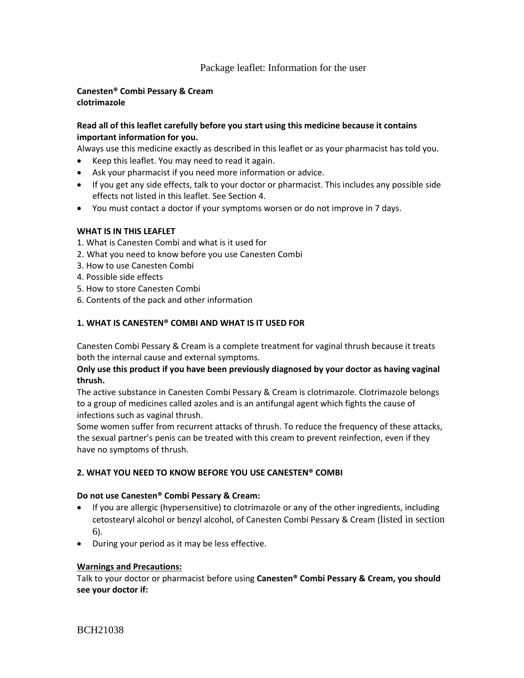# Package leaflet: Information for the user

## **Canesten® Combi Pessary & Cream clotrimazole**

## **Read all of this leaflet carefully before you start using this medicine because it contains important information for you.**

Always use this medicine exactly as described in this leaflet or as your pharmacist has told you.

- Keep this leaflet. You may need to read it again.
- Ask your pharmacist if you need more information or advice.
- If you get any side effects, talk to your doctor or pharmacist. This includes any possible side effects not listed in this leaflet. See Section 4.
- You must contact a doctor if your symptoms worsen or do not improve in 7 days.

## **WHAT IS IN THIS LEAFLET**

- 1. What is Canesten Combi and what is it used for
- 2. What you need to know before you use Canesten Combi
- 3. How to use Canesten Combi
- 4. Possible side effects
- 5. How to store Canesten Combi
- 6. Contents of the pack and other information

## **1. WHAT IS CANESTEN® COMBI AND WHAT IS IT USED FOR**

Canesten Combi Pessary & Cream is a complete treatment for vaginal thrush because it treats both the internal cause and external symptoms.

## **Only use this product if you have been previously diagnosed by your doctor as having vaginal thrush.**

The active substance in Canesten Combi Pessary & Cream is clotrimazole. Clotrimazole belongs to a group of medicines called azoles and is an antifungal agent which fights the cause of infections such as vaginal thrush.

Some women suffer from recurrent attacks of thrush. To reduce the frequency of these attacks, the sexual partner's penis can be treated with this cream to prevent reinfection, even if they have no symptoms of thrush.

## **2. WHAT YOU NEED TO KNOW BEFORE YOU USE CANESTEN® COMBI**

## **Do not use Canesten® Combi Pessary & Cream:**

- If you are allergic (hypersensitive) to clotrimazole or any of the other ingredients, including cetostearyl alcohol or benzyl alcohol, of Canesten Combi Pessary & Cream (listed in section 6).
- During your period as it may be less effective.

## **Warnings and Precautions:**

Talk to your doctor or pharmacist before using **Canesten® Combi Pessary & Cream, you should see your doctor if:**

BCH21038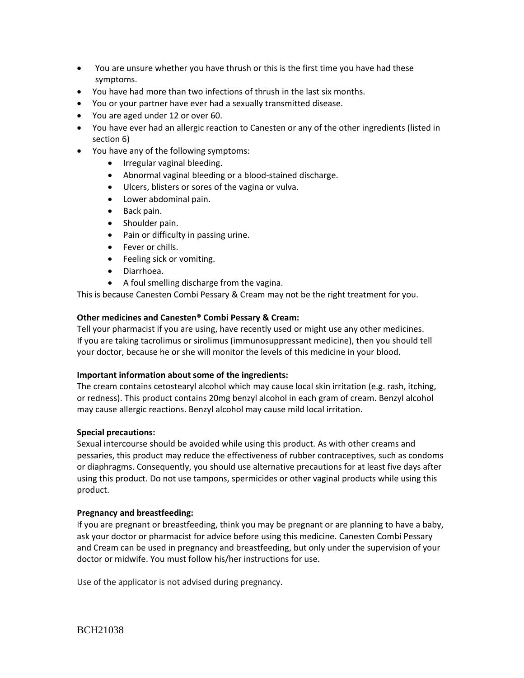- You are unsure whether you have thrush or this is the first time you have had these symptoms.
- You have had more than two infections of thrush in the last six months.
- You or your partner have ever had a sexually transmitted disease.
- You are aged under 12 or over 60.
- You have ever had an allergic reaction to Canesten or any of the other ingredients (listed in section 6)
- You have any of the following symptoms:
	- Irregular vaginal bleeding.
	- Abnormal vaginal bleeding or a blood-stained discharge.
	- Ulcers, blisters or sores of the vagina or vulva.
	- Lower abdominal pain.
	- Back pain.
	- Shoulder pain.
	- Pain or difficulty in passing urine.
	- Fever or chills.
	- Feeling sick or vomiting.
	- Diarrhoea.
	- A foul smelling discharge from the vagina.

This is because Canesten Combi Pessary & Cream may not be the right treatment for you.

## **Other medicines and Canesten® Combi Pessary & Cream:**

Tell your pharmacist if you are using, have recently used or might use any other medicines. If you are taking tacrolimus or sirolimus (immunosuppressant medicine), then you should tell your doctor, because he or she will monitor the levels of this medicine in your blood.

## **Important information about some of the ingredients:**

The cream contains cetostearyl alcohol which may cause local skin irritation (e.g. rash, itching, or redness). This product contains 20mg benzyl alcohol in each gram of cream. Benzyl alcohol may cause allergic reactions. Benzyl alcohol may cause mild local irritation.

## **Special precautions:**

Sexual intercourse should be avoided while using this product. As with other creams and pessaries, this product may reduce the effectiveness of rubber contraceptives, such as condoms or diaphragms. Consequently, you should use alternative precautions for at least five days after using this product. Do not use tampons, spermicides or other vaginal products while using this product.

## **Pregnancy and breastfeeding:**

If you are pregnant or breastfeeding, think you may be pregnant or are planning to have a baby, ask your doctor or pharmacist for advice before using this medicine. Canesten Combi Pessary and Cream can be used in pregnancy and breastfeeding, but only under the supervision of your doctor or midwife. You must follow his/her instructions for use.

Use of the applicator is not advised during pregnancy.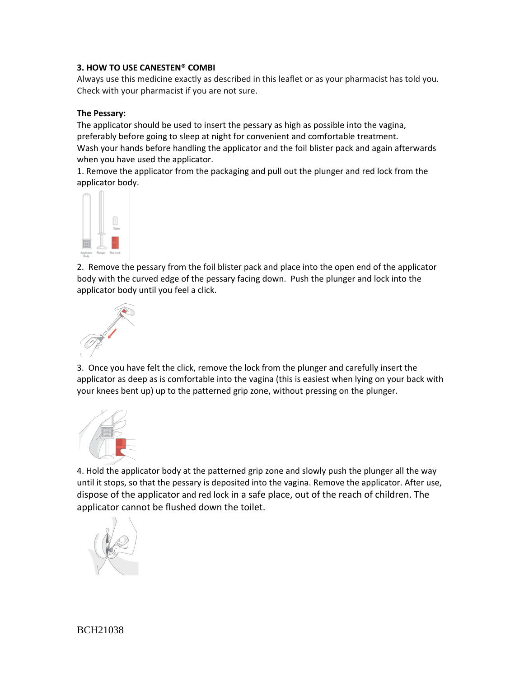## **3. HOW TO USE CANESTEN® COMBI**

Always use this medicine exactly as described in this leaflet or as your pharmacist has told you. Check with your pharmacist if you are not sure.

#### **The Pessary:**

The applicator should be used to insert the pessary as high as possible into the vagina, preferably before going to sleep at night for convenient and comfortable treatment. Wash your hands before handling the applicator and the foil blister pack and again afterwards when you have used the applicator.

1. Remove the applicator from the packaging and pull out the plunger and red lock from the applicator body.



2. Remove the pessary from the foil blister pack and place into the open end of the applicator body with the curved edge of the pessary facing down. Push the plunger and lock into the applicator body until you feel a click.



3. Once you have felt the click, remove the lock from the plunger and carefully insert the applicator as deep as is comfortable into the vagina (this is easiest when lying on your back with your knees bent up) up to the patterned grip zone, without pressing on the plunger.



4. Hold the applicator body at the patterned grip zone and slowly push the plunger all the way until it stops, so that the pessary is deposited into the vagina. Remove the applicator. After use, dispose of the applicator and red lock in a safe place, out of the reach of children. The applicator cannot be flushed down the toilet.

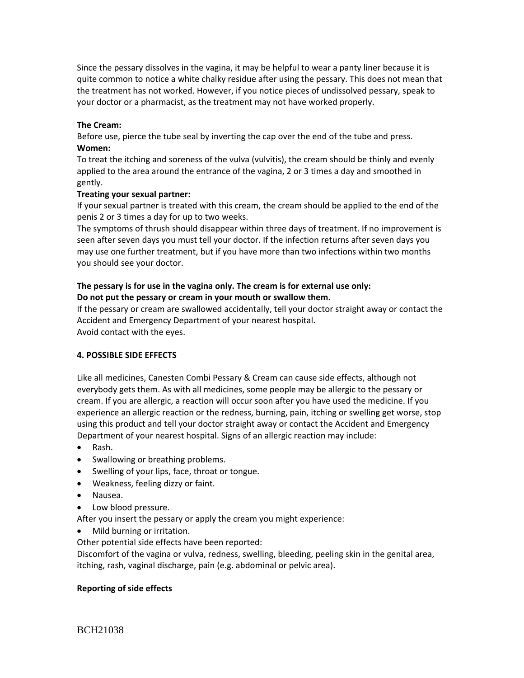Since the pessary dissolves in the vagina, it may be helpful to wear a panty liner because it is quite common to notice a white chalky residue after using the pessary. This does not mean that the treatment has not worked. However, if you notice pieces of undissolved pessary, speak to your doctor or a pharmacist, as the treatment may not have worked properly.

## **The Cream:**

Before use, pierce the tube seal by inverting the cap over the end of the tube and press. **Women:**

To treat the itching and soreness of the vulva (vulvitis), the cream should be thinly and evenly applied to the area around the entrance of the vagina, 2 or 3 times a day and smoothed in gently.

#### **Treating your sexual partner:**

If your sexual partner is treated with this cream, the cream should be applied to the end of the penis 2 or 3 times a day for up to two weeks.

The symptoms of thrush should disappear within three days of treatment. If no improvement is seen after seven days you must tell your doctor. If the infection returns after seven days you may use one further treatment, but if you have more than two infections within two months you should see your doctor.

## **The pessary is for use in the vagina only. The cream is for external use only: Do not put the pessary or cream in your mouth or swallow them.**

If the pessary or cream are swallowed accidentally, tell your doctor straight away or contact the Accident and Emergency Department of your nearest hospital. Avoid contact with the eyes.

## **4. POSSIBLE SIDE EFFECTS**

Like all medicines, Canesten Combi Pessary & Cream can cause side effects, although not everybody gets them. As with all medicines, some people may be allergic to the pessary or cream. If you are allergic, a reaction will occur soon after you have used the medicine. If you experience an allergic reaction or the redness, burning, pain, itching or swelling get worse, stop using this product and tell your doctor straight away or contact the Accident and Emergency Department of your nearest hospital. Signs of an allergic reaction may include:

- Rash.
- Swallowing or breathing problems.
- Swelling of your lips, face, throat or tongue.
- Weakness, feeling dizzy or faint.
- Nausea.
- Low blood pressure.

After you insert the pessary or apply the cream you might experience:

Mild burning or irritation.

Other potential side effects have been reported:

Discomfort of the vagina or vulva, redness, swelling, bleeding, peeling skin in the genital area, itching, rash, vaginal discharge, pain (e.g. abdominal or pelvic area).

## **Reporting of side effects**

BCH21038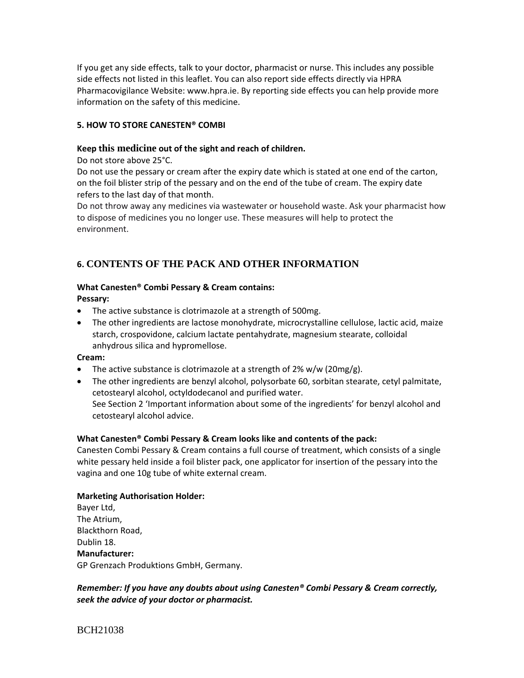If you get any side effects, talk to your doctor, pharmacist or nurse. This includes any possible side effects not listed in this leaflet. You can also report side effects directly via HPRA Pharmacovigilance Website: www.hpra.ie. By reporting side effects you can help provide more information on the safety of this medicine.

## **5. HOW TO STORE CANESTEN® COMBI**

## **Keep this medicine out of the sight and reach of children.**

Do not store above 25°C.

Do not use the pessary or cream after the expiry date which is stated at one end of the carton, on the foil blister strip of the pessary and on the end of the tube of cream. The expiry date refers to the last day of that month.

Do not throw away any medicines via wastewater or household waste. Ask your pharmacist how to dispose of medicines you no longer use. These measures will help to protect the environment.

# **6. CONTENTS OF THE PACK AND OTHER INFORMATION**

## **What Canesten® Combi Pessary & Cream contains:**

**Pessary:**

- The active substance is clotrimazole at a strength of 500mg.
- The other ingredients are lactose monohydrate, microcrystalline cellulose, lactic acid, maize starch, crospovidone, calcium lactate pentahydrate, magnesium stearate, colloidal anhydrous silica and hypromellose.

## **Cream:**

- The active substance is clotrimazole at a strength of  $2\%$  w/w ( $20$ mg/g).
- The other ingredients are benzyl alcohol, polysorbate 60, sorbitan stearate, cetyl palmitate, cetostearyl alcohol, octyldodecanol and purified water.

See Section 2 'Important information about some of the ingredients' for benzyl alcohol and cetostearyl alcohol advice.

## **What Canesten® Combi Pessary & Cream looks like and contents of the pack:**

Canesten Combi Pessary & Cream contains a full course of treatment, which consists of a single white pessary held inside a foil blister pack, one applicator for insertion of the pessary into the vagina and one 10g tube of white external cream.

## **Marketing Authorisation Holder:**

Bayer Ltd, The Atrium, Blackthorn Road, Dublin 18. **Manufacturer:** GP Grenzach Produktions GmbH, Germany.

## *Remember: If you have any doubts about using Canesten® Combi Pessary & Cream correctly, seek the advice of your doctor or pharmacist.*

BCH21038